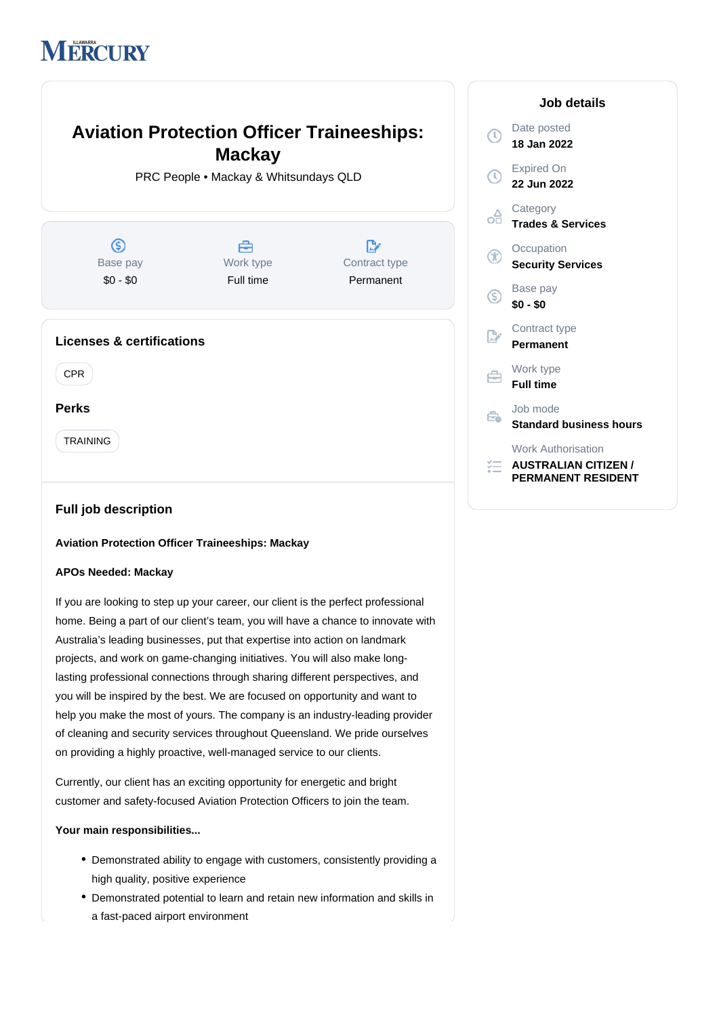# **MERCURY**

# **Aviation Protection Officer Traineeships:**  $\bigcirc$ **Mackay** PRC People • Mackay & Whitsundays QLD  $\circledS$ A  $\mathbb{R}^*$ Œ Base pay Work type Contract type \$0 - \$0 Full time Permanent  $\circledS$  $\mathbb{R}$ **Licenses & certifications** CPR Ê **Perks** TRAINING

# **Full job description**

#### **Aviation Protection Officer Traineeships: Mackay**

# **APOs Needed: Mackay**

If you are looking to step up your career, our client is the perfect professional home. Being a part of our client's team, you will have a chance to innovate with Australia's leading businesses, put that expertise into action on landmark projects, and work on game-changing initiatives. You will also make longlasting professional connections through sharing different perspectives, and you will be inspired by the best. We are focused on opportunity and want to help you make the most of yours. The company is an industry-leading provider of cleaning and security services throughout Queensland. We pride ourselves on providing a highly proactive, well-managed service to our clients.

Currently, our client has an exciting opportunity for energetic and bright customer and safety-focused Aviation Protection Officers to join the team.

### **Your main responsibilities...**

- Demonstrated ability to engage with customers, consistently providing a high quality, positive experience
- Demonstrated potential to learn and retain new information and skills in a fast-paced airport environment